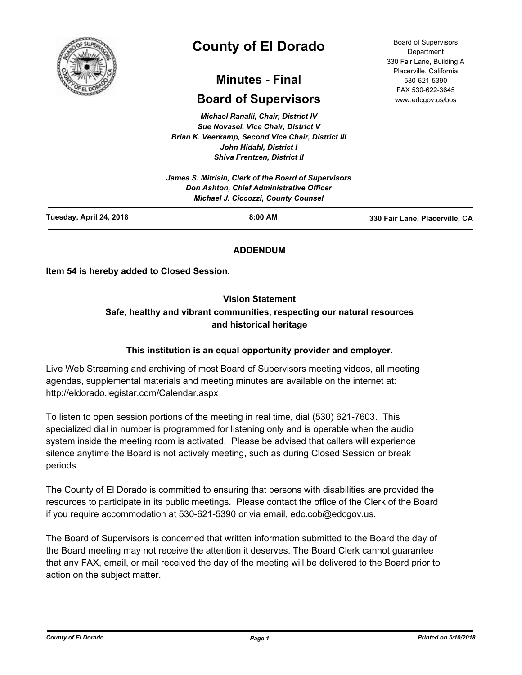

# **County of El Dorado**

## **Minutes - Final**

## **Board of Supervisors**

*Michael Ranalli, Chair, District IV Sue Novasel, Vice Chair, District V Brian K. Veerkamp, Second Vice Chair, District III John Hidahl, District I Shiva Frentzen, District II*

|                         | Don Ashton, Chief Administrative Officer<br><b>Michael J. Ciccozzi, County Counsel</b> |                                |
|-------------------------|----------------------------------------------------------------------------------------|--------------------------------|
| Tuesday, April 24, 2018 | $8:00$ AM                                                                              | 330 Fair Lane, Placerville, CA |

## **ADDENDUM**

**Item 54 is hereby added to Closed Session.**

## **Vision Statement**

## **Safe, healthy and vibrant communities, respecting our natural resources and historical heritage**

## **This institution is an equal opportunity provider and employer.**

Live Web Streaming and archiving of most Board of Supervisors meeting videos, all meeting agendas, supplemental materials and meeting minutes are available on the internet at: http://eldorado.legistar.com/Calendar.aspx

To listen to open session portions of the meeting in real time, dial (530) 621-7603. This specialized dial in number is programmed for listening only and is operable when the audio system inside the meeting room is activated. Please be advised that callers will experience silence anytime the Board is not actively meeting, such as during Closed Session or break periods.

The County of El Dorado is committed to ensuring that persons with disabilities are provided the resources to participate in its public meetings. Please contact the office of the Clerk of the Board if you require accommodation at 530-621-5390 or via email, edc.cob@edcgov.us.

The Board of Supervisors is concerned that written information submitted to the Board the day of the Board meeting may not receive the attention it deserves. The Board Clerk cannot guarantee that any FAX, email, or mail received the day of the meeting will be delivered to the Board prior to action on the subject matter.

Board of Supervisors Department 330 Fair Lane, Building A Placerville, California 530-621-5390 FAX 530-622-3645 www.edcgov.us/bos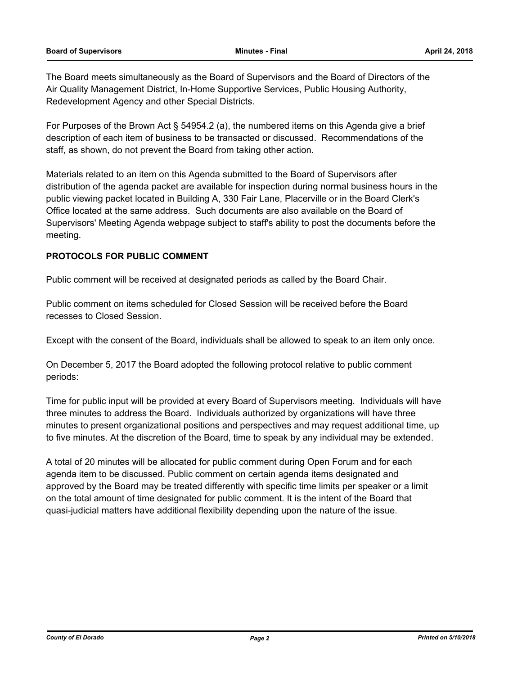The Board meets simultaneously as the Board of Supervisors and the Board of Directors of the Air Quality Management District, In-Home Supportive Services, Public Housing Authority, Redevelopment Agency and other Special Districts.

For Purposes of the Brown Act § 54954.2 (a), the numbered items on this Agenda give a brief description of each item of business to be transacted or discussed. Recommendations of the staff, as shown, do not prevent the Board from taking other action.

Materials related to an item on this Agenda submitted to the Board of Supervisors after distribution of the agenda packet are available for inspection during normal business hours in the public viewing packet located in Building A, 330 Fair Lane, Placerville or in the Board Clerk's Office located at the same address. Such documents are also available on the Board of Supervisors' Meeting Agenda webpage subject to staff's ability to post the documents before the meeting.

## **PROTOCOLS FOR PUBLIC COMMENT**

Public comment will be received at designated periods as called by the Board Chair.

Public comment on items scheduled for Closed Session will be received before the Board recesses to Closed Session.

Except with the consent of the Board, individuals shall be allowed to speak to an item only once.

On December 5, 2017 the Board adopted the following protocol relative to public comment periods:

Time for public input will be provided at every Board of Supervisors meeting. Individuals will have three minutes to address the Board. Individuals authorized by organizations will have three minutes to present organizational positions and perspectives and may request additional time, up to five minutes. At the discretion of the Board, time to speak by any individual may be extended.

A total of 20 minutes will be allocated for public comment during Open Forum and for each agenda item to be discussed. Public comment on certain agenda items designated and approved by the Board may be treated differently with specific time limits per speaker or a limit on the total amount of time designated for public comment. It is the intent of the Board that quasi-judicial matters have additional flexibility depending upon the nature of the issue.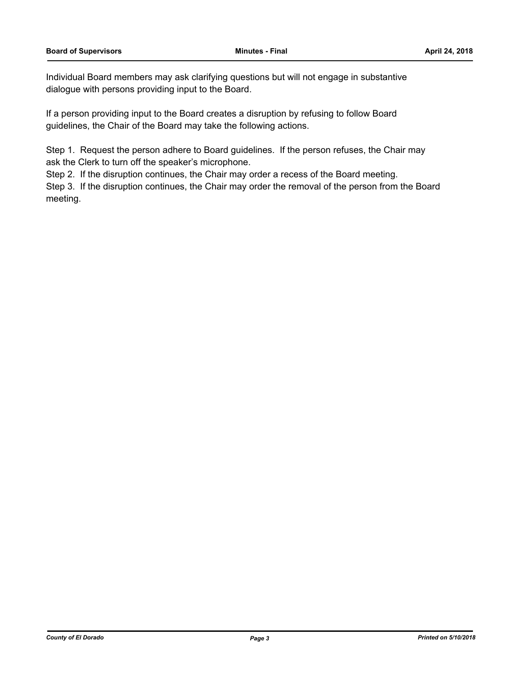Individual Board members may ask clarifying questions but will not engage in substantive dialogue with persons providing input to the Board.

If a person providing input to the Board creates a disruption by refusing to follow Board guidelines, the Chair of the Board may take the following actions.

Step 1. Request the person adhere to Board guidelines. If the person refuses, the Chair may ask the Clerk to turn off the speaker's microphone.

Step 2. If the disruption continues, the Chair may order a recess of the Board meeting.

Step 3. If the disruption continues, the Chair may order the removal of the person from the Board meeting.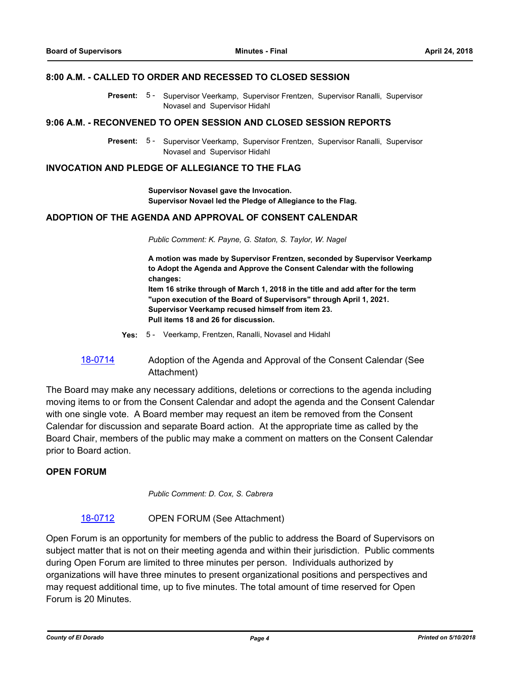#### **8:00 A.M. - CALLED TO ORDER AND RECESSED TO CLOSED SESSION**

Present: 5 - Supervisor Veerkamp, Supervisor Frentzen, Supervisor Ranalli, Supervisor Novasel and Supervisor Hidahl

#### **9:06 A.M. - RECONVENED TO OPEN SESSION AND CLOSED SESSION REPORTS**

Present: 5 - Supervisor Veerkamp, Supervisor Frentzen, Supervisor Ranalli, Supervisor Novasel and Supervisor Hidahl

## **INVOCATION AND PLEDGE OF ALLEGIANCE TO THE FLAG**

**Supervisor Novasel gave the Invocation. Supervisor Novael led the Pledge of Allegiance to the Flag.**

## **ADOPTION OF THE AGENDA AND APPROVAL OF CONSENT CALENDAR**

*Public Comment: K. Payne, G. Staton, S. Taylor, W. Nagel*

**A motion was made by Supervisor Frentzen, seconded by Supervisor Veerkamp to Adopt the Agenda and Approve the Consent Calendar with the following changes: Item 16 strike through of March 1, 2018 in the title and add after for the term "upon execution of the Board of Supervisors" through April 1, 2021. Supervisor Veerkamp recused himself from item 23. Pull items 18 and 26 for discussion.**

- **Yes:** 5 Veerkamp, Frentzen, Ranalli, Novasel and Hidahl
- [18-0714](http://eldorado.legistar.com/gateway.aspx?m=l&id=/matter.aspx?key=24058) Adoption of the Agenda and Approval of the Consent Calendar (See Attachment)

The Board may make any necessary additions, deletions or corrections to the agenda including moving items to or from the Consent Calendar and adopt the agenda and the Consent Calendar with one single vote. A Board member may request an item be removed from the Consent Calendar for discussion and separate Board action. At the appropriate time as called by the Board Chair, members of the public may make a comment on matters on the Consent Calendar prior to Board action.

#### **OPEN FORUM**

*Public Comment: D. Cox, S. Cabrera*

#### [18-0712](http://eldorado.legistar.com/gateway.aspx?m=l&id=/matter.aspx?key=24056) OPEN FORUM (See Attachment)

Open Forum is an opportunity for members of the public to address the Board of Supervisors on subject matter that is not on their meeting agenda and within their jurisdiction. Public comments during Open Forum are limited to three minutes per person. Individuals authorized by organizations will have three minutes to present organizational positions and perspectives and may request additional time, up to five minutes. The total amount of time reserved for Open Forum is 20 Minutes.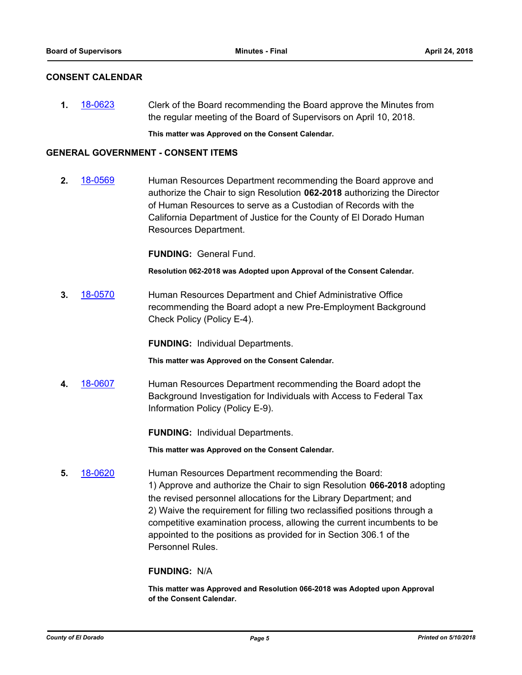#### **CONSENT CALENDAR**

**1.** [18-0623](http://eldorado.legistar.com/gateway.aspx?m=l&id=/matter.aspx?key=23968) Clerk of the Board recommending the Board approve the Minutes from the regular meeting of the Board of Supervisors on April 10, 2018.

**This matter was Approved on the Consent Calendar.**

#### **GENERAL GOVERNMENT - CONSENT ITEMS**

**2.** [18-0569](http://eldorado.legistar.com/gateway.aspx?m=l&id=/matter.aspx?key=23914) Human Resources Department recommending the Board approve and authorize the Chair to sign Resolution **062-2018** authorizing the Director of Human Resources to serve as a Custodian of Records with the California Department of Justice for the County of El Dorado Human Resources Department.

**FUNDING:** General Fund.

**Resolution 062-2018 was Adopted upon Approval of the Consent Calendar.**

**3.** [18-0570](http://eldorado.legistar.com/gateway.aspx?m=l&id=/matter.aspx?key=23915) Human Resources Department and Chief Administrative Office recommending the Board adopt a new Pre-Employment Background Check Policy (Policy E-4).

**FUNDING:** Individual Departments.

**This matter was Approved on the Consent Calendar.**

**4.** [18-0607](http://eldorado.legistar.com/gateway.aspx?m=l&id=/matter.aspx?key=23952) Human Resources Department recommending the Board adopt the Background Investigation for Individuals with Access to Federal Tax Information Policy (Policy E-9).

**FUNDING:** Individual Departments.

**This matter was Approved on the Consent Calendar.**

**5.** [18-0620](http://eldorado.legistar.com/gateway.aspx?m=l&id=/matter.aspx?key=23965) Human Resources Department recommending the Board: 1) Approve and authorize the Chair to sign Resolution **066-2018** adopting the revised personnel allocations for the Library Department; and 2) Waive the requirement for filling two reclassified positions through a competitive examination process, allowing the current incumbents to be appointed to the positions as provided for in Section 306.1 of the Personnel Rules.

## **FUNDING:** N/A

**This matter was Approved and Resolution 066-2018 was Adopted upon Approval of the Consent Calendar.**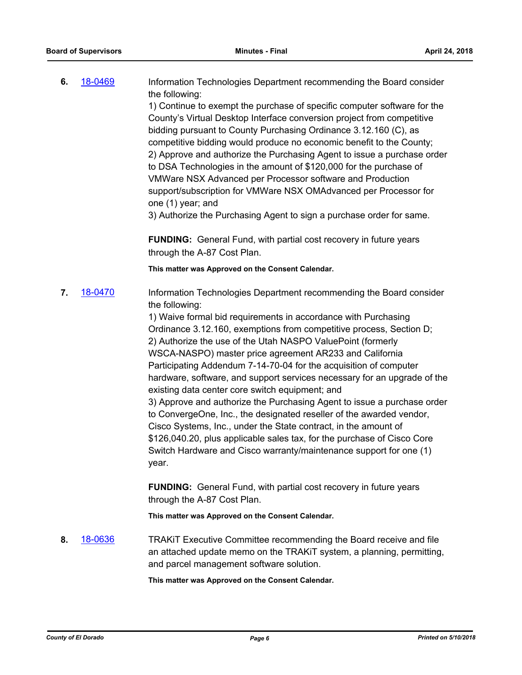| 6. | 18-0469 | Information Technologies Department recommending the Board consider<br>the following:                                                                                                                                                                                                                                                                                                                                                                                                                        |
|----|---------|--------------------------------------------------------------------------------------------------------------------------------------------------------------------------------------------------------------------------------------------------------------------------------------------------------------------------------------------------------------------------------------------------------------------------------------------------------------------------------------------------------------|
|    |         | 1) Continue to exempt the purchase of specific computer software for the<br>County's Virtual Desktop Interface conversion project from competitive<br>bidding pursuant to County Purchasing Ordinance 3.12.160 (C), as<br>competitive bidding would produce no economic benefit to the County;<br>2) Approve and authorize the Purchasing Agent to issue a purchase order<br>to DSA Technologies in the amount of \$120,000 for the purchase of<br>VMWare NSX Advanced per Processor software and Production |
|    |         | support/subscription for VMWare NSX OMAdvanced per Processor for<br>one (1) year; and                                                                                                                                                                                                                                                                                                                                                                                                                        |
|    |         | 3) Authorize the Purchasing Agent to sign a purchase order for same.                                                                                                                                                                                                                                                                                                                                                                                                                                         |
|    |         | <b>FUNDING:</b> General Fund, with partial cost recovery in future years<br>through the A-87 Cost Plan.                                                                                                                                                                                                                                                                                                                                                                                                      |

**This matter was Approved on the Consent Calendar.**

**7.** [18-0470](http://eldorado.legistar.com/gateway.aspx?m=l&id=/matter.aspx?key=23815) Information Technologies Department recommending the Board consider the following:

1) Waive formal bid requirements in accordance with Purchasing Ordinance 3.12.160, exemptions from competitive process, Section D; 2) Authorize the use of the Utah NASPO ValuePoint (formerly WSCA-NASPO) master price agreement AR233 and California Participating Addendum 7-14-70-04 for the acquisition of computer hardware, software, and support services necessary for an upgrade of the existing data center core switch equipment; and 3) Approve and authorize the Purchasing Agent to issue a purchase order to ConvergeOne, Inc., the designated reseller of the awarded vendor, Cisco Systems, Inc., under the State contract, in the amount of \$126,040.20, plus applicable sales tax, for the purchase of Cisco Core Switch Hardware and Cisco warranty/maintenance support for one (1)

year. **FUNDING:** General Fund, with partial cost recovery in future years

through the A-87 Cost Plan.

**This matter was Approved on the Consent Calendar.**

**8.** [18-0636](http://eldorado.legistar.com/gateway.aspx?m=l&id=/matter.aspx?key=23981) TRAKiT Executive Committee recommending the Board receive and file an attached update memo on the TRAKiT system, a planning, permitting, and parcel management software solution.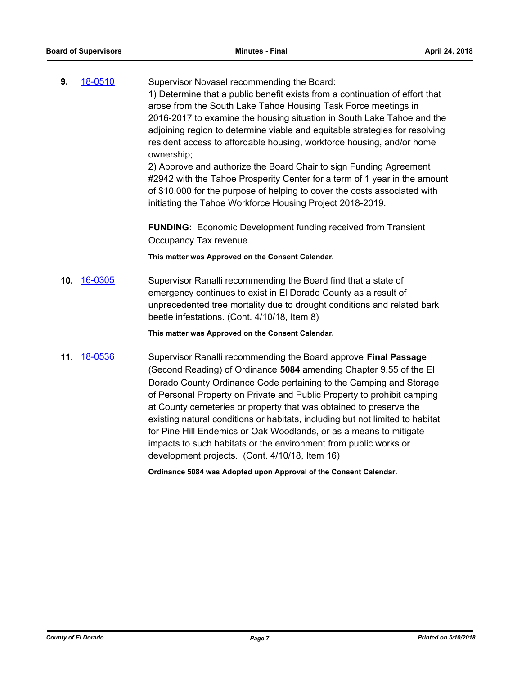| 9.  | 18-0510 | Supervisor Novasel recommending the Board:<br>1) Determine that a public benefit exists from a continuation of effort that<br>arose from the South Lake Tahoe Housing Task Force meetings in<br>2016-2017 to examine the housing situation in South Lake Tahoe and the<br>adjoining region to determine viable and equitable strategies for resolving<br>resident access to affordable housing, workforce housing, and/or home<br>ownership;<br>2) Approve and authorize the Board Chair to sign Funding Agreement<br>#2942 with the Tahoe Prosperity Center for a term of 1 year in the amount<br>of \$10,000 for the purpose of helping to cover the costs associated with<br>initiating the Tahoe Workforce Housing Project 2018-2019. |
|-----|---------|-------------------------------------------------------------------------------------------------------------------------------------------------------------------------------------------------------------------------------------------------------------------------------------------------------------------------------------------------------------------------------------------------------------------------------------------------------------------------------------------------------------------------------------------------------------------------------------------------------------------------------------------------------------------------------------------------------------------------------------------|
|     |         | FUNDING: Economic Development funding received from Transient<br>Occupancy Tax revenue.                                                                                                                                                                                                                                                                                                                                                                                                                                                                                                                                                                                                                                                   |
|     |         | This matter was Approved on the Consent Calendar.                                                                                                                                                                                                                                                                                                                                                                                                                                                                                                                                                                                                                                                                                         |
| 10. | 16-0305 | Supervisor Ranalli recommending the Board find that a state of<br>emergency continues to exist in El Dorado County as a result of<br>unprecedented tree mortality due to drought conditions and related bark<br>beetle infestations. (Cont. 4/10/18, Item 8)                                                                                                                                                                                                                                                                                                                                                                                                                                                                              |
|     |         | This matter was Approved on the Consent Calendar.                                                                                                                                                                                                                                                                                                                                                                                                                                                                                                                                                                                                                                                                                         |
| 11. | 18-0536 | Supervisor Ranalli recommending the Board approve Final Passage<br>(Second Reading) of Ordinance 5084 amending Chapter 9.55 of the El<br>Dorado County Ordinance Code pertaining to the Camping and Storage<br>of Personal Property on Private and Public Property to prohibit camping<br>at County cemeteries or property that was obtained to preserve the<br>existing natural conditions or habitats, including but not limited to habitat<br>for Pine Hill Endemics or Oak Woodlands, or as a means to mitigate<br>impacts to such habitats or the environment from public works or                                                                                                                                                   |

development projects. (Cont. 4/10/18, Item 16)

**Ordinance 5084 was Adopted upon Approval of the Consent Calendar.**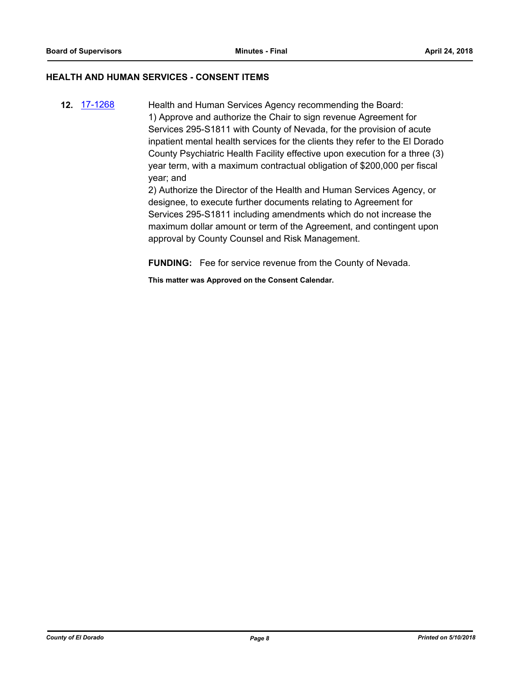#### **HEALTH AND HUMAN SERVICES - CONSENT ITEMS**

**12.** [17-1268](http://eldorado.legistar.com/gateway.aspx?m=l&id=/matter.aspx?key=23212) Health and Human Services Agency recommending the Board: 1) Approve and authorize the Chair to sign revenue Agreement for Services 295-S1811 with County of Nevada, for the provision of acute inpatient mental health services for the clients they refer to the El Dorado County Psychiatric Health Facility effective upon execution for a three (3) year term, with a maximum contractual obligation of \$200,000 per fiscal year; and 2) Authorize the Director of the Health and Human Services Agency, or

designee, to execute further documents relating to Agreement for Services 295-S1811 including amendments which do not increase the maximum dollar amount or term of the Agreement, and contingent upon approval by County Counsel and Risk Management.

**FUNDING:** Fee for service revenue from the County of Nevada.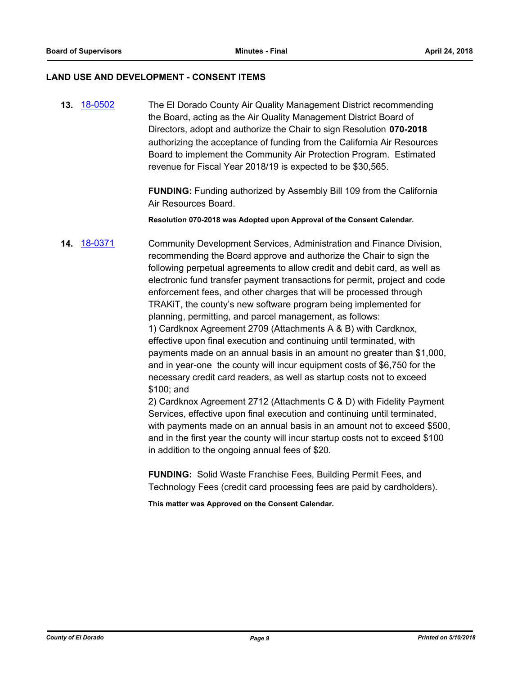#### **LAND USE AND DEVELOPMENT - CONSENT ITEMS**

**13.** [18-0502](http://eldorado.legistar.com/gateway.aspx?m=l&id=/matter.aspx?key=23847) The El Dorado County Air Quality Management District recommending the Board, acting as the Air Quality Management District Board of Directors, adopt and authorize the Chair to sign Resolution **070-2018**  authorizing the acceptance of funding from the California Air Resources Board to implement the Community Air Protection Program. Estimated revenue for Fiscal Year 2018/19 is expected to be \$30,565.

> **FUNDING:** Funding authorized by Assembly Bill 109 from the California Air Resources Board.

**Resolution 070-2018 was Adopted upon Approval of the Consent Calendar.**

**14.** [18-0371](http://eldorado.legistar.com/gateway.aspx?m=l&id=/matter.aspx?key=23715) Community Development Services, Administration and Finance Division, recommending the Board approve and authorize the Chair to sign the following perpetual agreements to allow credit and debit card, as well as electronic fund transfer payment transactions for permit, project and code enforcement fees, and other charges that will be processed through TRAKiT, the county's new software program being implemented for planning, permitting, and parcel management, as follows: 1) Cardknox Agreement 2709 (Attachments A & B) with Cardknox, effective upon final execution and continuing until terminated, with payments made on an annual basis in an amount no greater than \$1,000,

and in year-one the county will incur equipment costs of \$6,750 for the necessary credit card readers, as well as startup costs not to exceed \$100; and

2) Cardknox Agreement 2712 (Attachments C & D) with Fidelity Payment Services, effective upon final execution and continuing until terminated, with payments made on an annual basis in an amount not to exceed \$500, and in the first year the county will incur startup costs not to exceed \$100 in addition to the ongoing annual fees of \$20.

**FUNDING:** Solid Waste Franchise Fees, Building Permit Fees, and Technology Fees (credit card processing fees are paid by cardholders).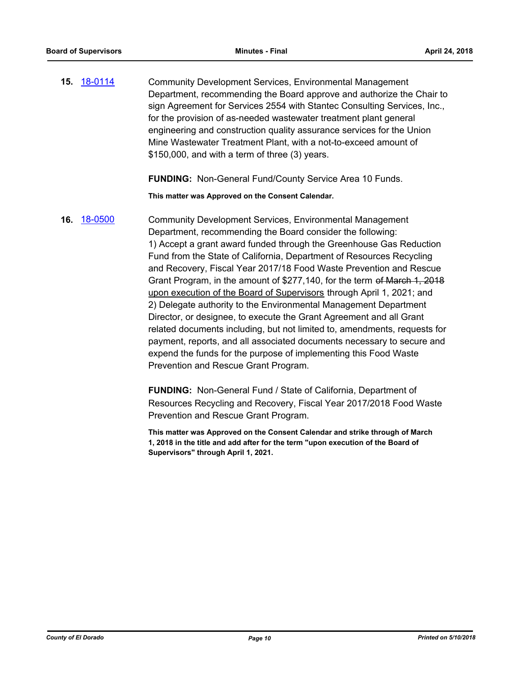**15.** [18-0114](http://eldorado.legistar.com/gateway.aspx?m=l&id=/matter.aspx?key=23456) Community Development Services, Environmental Management Department, recommending the Board approve and authorize the Chair to sign Agreement for Services 2554 with Stantec Consulting Services, Inc., for the provision of as-needed wastewater treatment plant general engineering and construction quality assurance services for the Union Mine Wastewater Treatment Plant, with a not-to-exceed amount of \$150,000, and with a term of three (3) years.

**FUNDING:** Non-General Fund/County Service Area 10 Funds.

**This matter was Approved on the Consent Calendar.**

**16.** [18-0500](http://eldorado.legistar.com/gateway.aspx?m=l&id=/matter.aspx?key=23845) Community Development Services, Environmental Management Department, recommending the Board consider the following: 1) Accept a grant award funded through the Greenhouse Gas Reduction Fund from the State of California, Department of Resources Recycling and Recovery, Fiscal Year 2017/18 Food Waste Prevention and Rescue Grant Program, in the amount of \$277,140, for the term of March 1, 2018 upon execution of the Board of Supervisors through April 1, 2021; and 2) Delegate authority to the Environmental Management Department Director, or designee, to execute the Grant Agreement and all Grant related documents including, but not limited to, amendments, requests for payment, reports, and all associated documents necessary to secure and expend the funds for the purpose of implementing this Food Waste Prevention and Rescue Grant Program.

> **FUNDING:** Non-General Fund / State of California, Department of Resources Recycling and Recovery, Fiscal Year 2017/2018 Food Waste Prevention and Rescue Grant Program.

**This matter was Approved on the Consent Calendar and strike through of March 1, 2018 in the title and add after for the term "upon execution of the Board of Supervisors" through April 1, 2021.**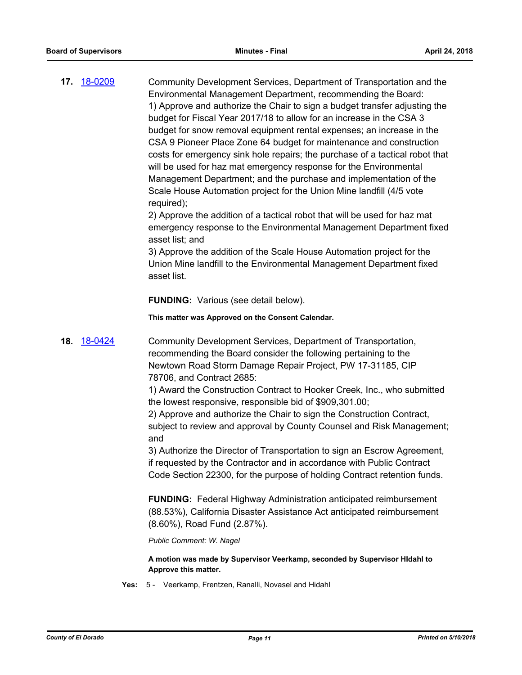**17.** [18-0209](http://eldorado.legistar.com/gateway.aspx?m=l&id=/matter.aspx?key=23551) Community Development Services, Department of Transportation and the Environmental Management Department, recommending the Board: 1) Approve and authorize the Chair to sign a budget transfer adjusting the budget for Fiscal Year 2017/18 to allow for an increase in the CSA 3 budget for snow removal equipment rental expenses; an increase in the CSA 9 Pioneer Place Zone 64 budget for maintenance and construction costs for emergency sink hole repairs; the purchase of a tactical robot that will be used for haz mat emergency response for the Environmental Management Department; and the purchase and implementation of the Scale House Automation project for the Union Mine landfill (4/5 vote required);

> 2) Approve the addition of a tactical robot that will be used for haz mat emergency response to the Environmental Management Department fixed asset list; and

3) Approve the addition of the Scale House Automation project for the Union Mine landfill to the Environmental Management Department fixed asset list.

#### **FUNDING:** Various (see detail below).

#### **This matter was Approved on the Consent Calendar.**

**18.** [18-0424](http://eldorado.legistar.com/gateway.aspx?m=l&id=/matter.aspx?key=23769) Community Development Services, Department of Transportation, recommending the Board consider the following pertaining to the Newtown Road Storm Damage Repair Project, PW 17-31185, CIP 78706, and Contract 2685:

> 1) Award the Construction Contract to Hooker Creek, Inc., who submitted the lowest responsive, responsible bid of \$909,301.00;

> 2) Approve and authorize the Chair to sign the Construction Contract, subject to review and approval by County Counsel and Risk Management; and

3) Authorize the Director of Transportation to sign an Escrow Agreement, if requested by the Contractor and in accordance with Public Contract Code Section 22300, for the purpose of holding Contract retention funds.

**FUNDING:** Federal Highway Administration anticipated reimbursement (88.53%), California Disaster Assistance Act anticipated reimbursement (8.60%), Road Fund (2.87%).

*Public Comment: W. Nagel*

**A motion was made by Supervisor Veerkamp, seconded by Supervisor HIdahl to Approve this matter.**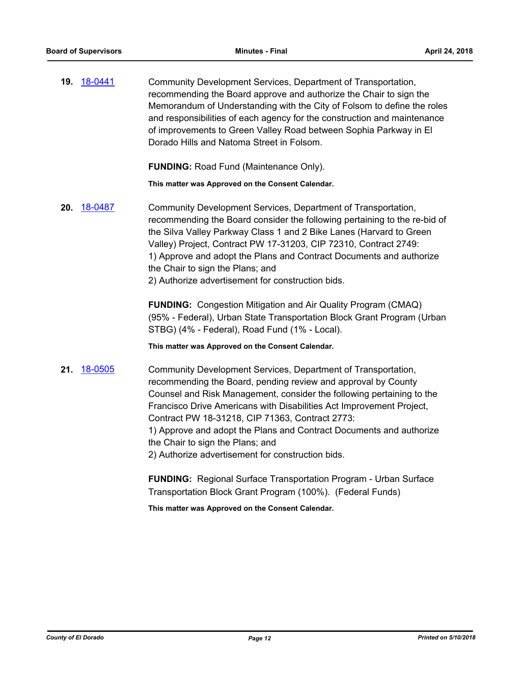**19.** [18-0441](http://eldorado.legistar.com/gateway.aspx?m=l&id=/matter.aspx?key=23786) Community Development Services, Department of Transportation, recommending the Board approve and authorize the Chair to sign the Memorandum of Understanding with the City of Folsom to define the roles and responsibilities of each agency for the construction and maintenance of improvements to Green Valley Road between Sophia Parkway in El Dorado Hills and Natoma Street in Folsom.

**FUNDING:** Road Fund (Maintenance Only).

**This matter was Approved on the Consent Calendar.**

**20.** [18-0487](http://eldorado.legistar.com/gateway.aspx?m=l&id=/matter.aspx?key=23832) Community Development Services, Department of Transportation, recommending the Board consider the following pertaining to the re-bid of the Silva Valley Parkway Class 1 and 2 Bike Lanes (Harvard to Green Valley) Project, Contract PW 17-31203, CIP 72310, Contract 2749: 1) Approve and adopt the Plans and Contract Documents and authorize the Chair to sign the Plans; and 2) Authorize advertisement for construction bids.

> **FUNDING:** Congestion Mitigation and Air Quality Program (CMAQ) (95% - Federal), Urban State Transportation Block Grant Program (Urban STBG) (4% - Federal), Road Fund (1% - Local).

**This matter was Approved on the Consent Calendar.**

**21.** [18-0505](http://eldorado.legistar.com/gateway.aspx?m=l&id=/matter.aspx?key=23850) Community Development Services, Department of Transportation, recommending the Board, pending review and approval by County Counsel and Risk Management, consider the following pertaining to the Francisco Drive Americans with Disabilities Act Improvement Project, Contract PW 18-31218, CIP 71363, Contract 2773: 1) Approve and adopt the Plans and Contract Documents and authorize the Chair to sign the Plans; and 2) Authorize advertisement for construction bids.

> **FUNDING:** Regional Surface Transportation Program - Urban Surface Transportation Block Grant Program (100%). (Federal Funds)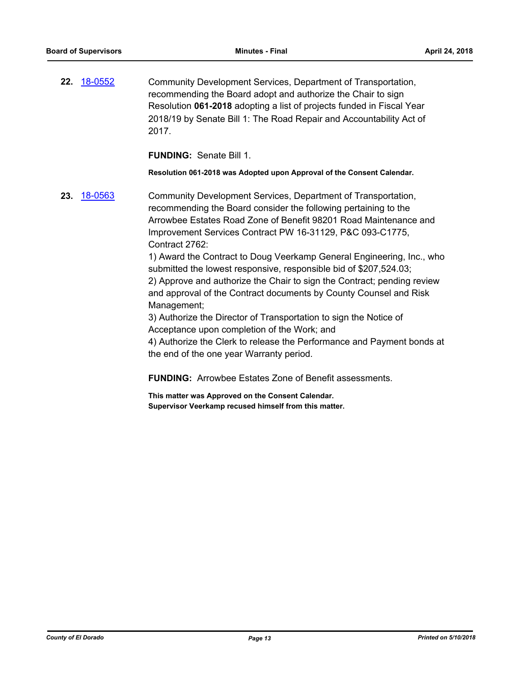**22.** [18-0552](http://eldorado.legistar.com/gateway.aspx?m=l&id=/matter.aspx?key=23897) Community Development Services, Department of Transportation, recommending the Board adopt and authorize the Chair to sign Resolution **061-2018** adopting a list of projects funded in Fiscal Year 2018/19 by Senate Bill 1: The Road Repair and Accountability Act of 2017.

**FUNDING:** Senate Bill 1.

**Resolution 061-2018 was Adopted upon Approval of the Consent Calendar.**

**23.** [18-0563](http://eldorado.legistar.com/gateway.aspx?m=l&id=/matter.aspx?key=23908) Community Development Services, Department of Transportation, recommending the Board consider the following pertaining to the Arrowbee Estates Road Zone of Benefit 98201 Road Maintenance and Improvement Services Contract PW 16-31129, P&C 093-C1775, Contract 2762:

> 1) Award the Contract to Doug Veerkamp General Engineering, Inc., who submitted the lowest responsive, responsible bid of \$207,524.03; 2) Approve and authorize the Chair to sign the Contract; pending review and approval of the Contract documents by County Counsel and Risk Management;

3) Authorize the Director of Transportation to sign the Notice of Acceptance upon completion of the Work; and

4) Authorize the Clerk to release the Performance and Payment bonds at the end of the one year Warranty period.

**FUNDING:** Arrowbee Estates Zone of Benefit assessments.

**This matter was Approved on the Consent Calendar. Supervisor Veerkamp recused himself from this matter.**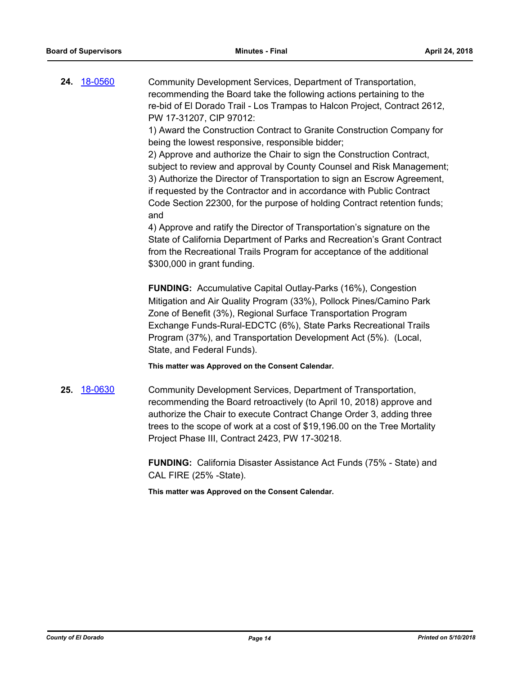**24.** [18-0560](http://eldorado.legistar.com/gateway.aspx?m=l&id=/matter.aspx?key=23905) Community Development Services, Department of Transportation, recommending the Board take the following actions pertaining to the re-bid of El Dorado Trail - Los Trampas to Halcon Project, Contract 2612, PW 17-31207, CIP 97012:

1) Award the Construction Contract to Granite Construction Company for being the lowest responsive, responsible bidder;

2) Approve and authorize the Chair to sign the Construction Contract, subject to review and approval by County Counsel and Risk Management; 3) Authorize the Director of Transportation to sign an Escrow Agreement, if requested by the Contractor and in accordance with Public Contract Code Section 22300, for the purpose of holding Contract retention funds; and

4) Approve and ratify the Director of Transportation's signature on the State of California Department of Parks and Recreation's Grant Contract from the Recreational Trails Program for acceptance of the additional \$300,000 in grant funding.

**FUNDING:** Accumulative Capital Outlay-Parks (16%), Congestion Mitigation and Air Quality Program (33%), Pollock Pines/Camino Park Zone of Benefit (3%), Regional Surface Transportation Program Exchange Funds-Rural-EDCTC (6%), State Parks Recreational Trails Program (37%), and Transportation Development Act (5%). (Local, State, and Federal Funds).

**This matter was Approved on the Consent Calendar.**

**25.** [18-0630](http://eldorado.legistar.com/gateway.aspx?m=l&id=/matter.aspx?key=23975) Community Development Services, Department of Transportation, recommending the Board retroactively (to April 10, 2018) approve and authorize the Chair to execute Contract Change Order 3, adding three trees to the scope of work at a cost of \$19,196.00 on the Tree Mortality Project Phase III, Contract 2423, PW 17-30218.

> **FUNDING:** California Disaster Assistance Act Funds (75% - State) and CAL FIRE (25% -State).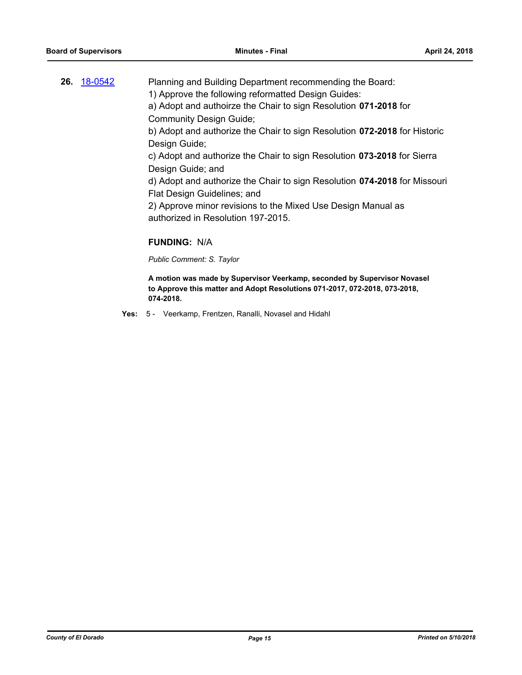| Planning and Building Department recommending the Board:                                                                                                            |
|---------------------------------------------------------------------------------------------------------------------------------------------------------------------|
| 1) Approve the following reformatted Design Guides:                                                                                                                 |
| a) Adopt and authoirze the Chair to sign Resolution 071-2018 for                                                                                                    |
| <b>Community Design Guide;</b>                                                                                                                                      |
| b) Adopt and authorize the Chair to sign Resolution 072-2018 for Historic                                                                                           |
| Design Guide;                                                                                                                                                       |
| c) Adopt and authorize the Chair to sign Resolution 073-2018 for Sierra                                                                                             |
| Design Guide; and                                                                                                                                                   |
| d) Adopt and authorize the Chair to sign Resolution 074-2018 for Missouri                                                                                           |
| Flat Design Guidelines; and                                                                                                                                         |
| 2) Approve minor revisions to the Mixed Use Design Manual as                                                                                                        |
| authorized in Resolution 197-2015.                                                                                                                                  |
|                                                                                                                                                                     |
| <b>FUNDING: N/A</b>                                                                                                                                                 |
| Public Comment: S. Taylor                                                                                                                                           |
| A motion was made by Supervisor Veerkamp, seconded by Supervisor Novasel<br>to Approve this matter and Adopt Resolutions 071-2017, 072-2018, 073-2018,<br>074-2018. |
|                                                                                                                                                                     |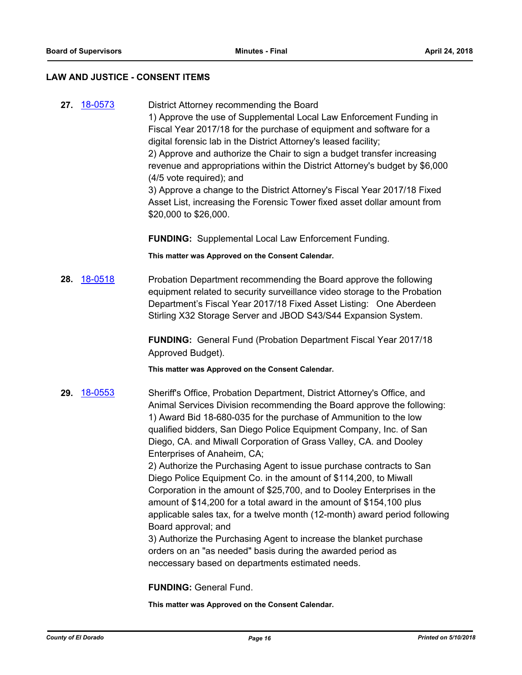#### **LAW AND JUSTICE - CONSENT ITEMS**

**27.** [18-0573](http://eldorado.legistar.com/gateway.aspx?m=l&id=/matter.aspx?key=23918) District Attorney recommending the Board 1) Approve the use of Supplemental Local Law Enforcement Funding in Fiscal Year 2017/18 for the purchase of equipment and software for a digital forensic lab in the District Attorney's leased facility; 2) Approve and authorize the Chair to sign a budget transfer increasing revenue and appropriations within the District Attorney's budget by \$6,000 (4/5 vote required); and 3) Approve a change to the District Attorney's Fiscal Year 2017/18 Fixed Asset List, increasing the Forensic Tower fixed asset dollar amount from \$20,000 to \$26,000.

**FUNDING:** Supplemental Local Law Enforcement Funding.

**This matter was Approved on the Consent Calendar.**

**28.** [18-0518](http://eldorado.legistar.com/gateway.aspx?m=l&id=/matter.aspx?key=23863) Probation Department recommending the Board approve the following equipment related to security surveillance video storage to the Probation Department's Fiscal Year 2017/18 Fixed Asset Listing: One Aberdeen Stirling X32 Storage Server and JBOD S43/S44 Expansion System.

> **FUNDING:** General Fund (Probation Department Fiscal Year 2017/18 Approved Budget).

**This matter was Approved on the Consent Calendar.**

**29.** [18-0553](http://eldorado.legistar.com/gateway.aspx?m=l&id=/matter.aspx?key=23898) Sheriff's Office, Probation Department, District Attorney's Office, and Animal Services Division recommending the Board approve the following: 1) Award Bid 18-680-035 for the purchase of Ammunition to the low qualified bidders, San Diego Police Equipment Company, Inc. of San Diego, CA. and Miwall Corporation of Grass Valley, CA. and Dooley Enterprises of Anaheim, CA;

> 2) Authorize the Purchasing Agent to issue purchase contracts to San Diego Police Equipment Co. in the amount of \$114,200, to Miwall Corporation in the amount of \$25,700, and to Dooley Enterprises in the amount of \$14,200 for a total award in the amount of \$154,100 plus applicable sales tax, for a twelve month (12-month) award period following Board approval; and

3) Authorize the Purchasing Agent to increase the blanket purchase orders on an "as needed" basis during the awarded period as neccessary based on departments estimated needs.

**FUNDING:** General Fund.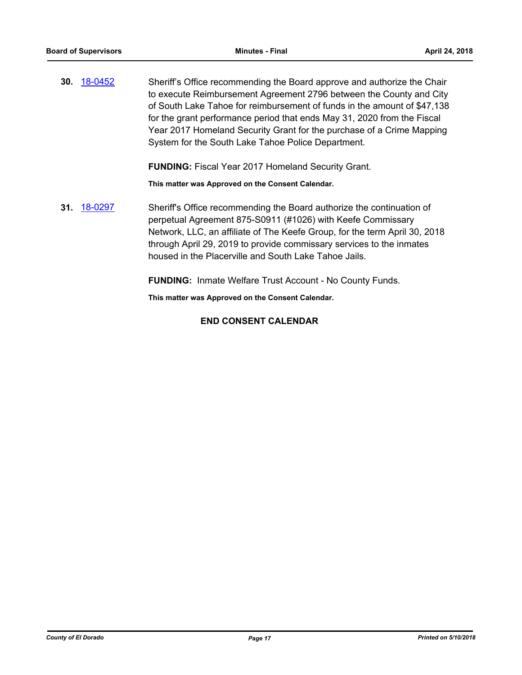**30.** [18-0452](http://eldorado.legistar.com/gateway.aspx?m=l&id=/matter.aspx?key=23797) Sheriff's Office recommending the Board approve and authorize the Chair to execute Reimbursement Agreement 2796 between the County and City of South Lake Tahoe for reimbursement of funds in the amount of \$47,138 for the grant performance period that ends May 31, 2020 from the Fiscal Year 2017 Homeland Security Grant for the purchase of a Crime Mapping System for the South Lake Tahoe Police Department.

**FUNDING:** Fiscal Year 2017 Homeland Security Grant.

**This matter was Approved on the Consent Calendar.**

**31.** [18-0297](http://eldorado.legistar.com/gateway.aspx?m=l&id=/matter.aspx?key=23640) Sheriff's Office recommending the Board authorize the continuation of perpetual Agreement 875-S0911 (#1026) with Keefe Commissary Network, LLC, an affiliate of The Keefe Group, for the term April 30, 2018 through April 29, 2019 to provide commissary services to the inmates housed in the Placerville and South Lake Tahoe Jails.

**FUNDING:** Inmate Welfare Trust Account - No County Funds.

**This matter was Approved on the Consent Calendar.**

## **END CONSENT CALENDAR**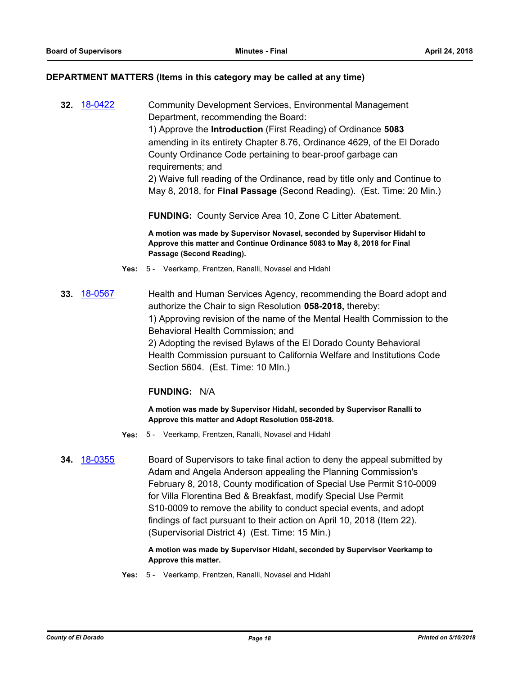#### **DEPARTMENT MATTERS (Items in this category may be called at any time)**

**32.** [18-0422](http://eldorado.legistar.com/gateway.aspx?m=l&id=/matter.aspx?key=23767) Community Development Services, Environmental Management Department, recommending the Board: 1) Approve the **Introduction** (First Reading) of Ordinance **5083** amending in its entirety Chapter 8.76, Ordinance 4629, of the El Dorado County Ordinance Code pertaining to bear-proof garbage can requirements; and 2) Waive full reading of the Ordinance, read by title only and Continue to May 8, 2018, for **Final Passage** (Second Reading). (Est. Time: 20 Min.)

**FUNDING:** County Service Area 10, Zone C Litter Abatement.

**A motion was made by Supervisor Novasel, seconded by Supervisor Hidahl to Approve this matter and Continue Ordinance 5083 to May 8, 2018 for Final Passage (Second Reading).**

- **Yes:** 5 Veerkamp, Frentzen, Ranalli, Novasel and Hidahl
- **33.** [18-0567](http://eldorado.legistar.com/gateway.aspx?m=l&id=/matter.aspx?key=23912) Health and Human Services Agency, recommending the Board adopt and authorize the Chair to sign Resolution **058-2018,** thereby: 1) Approving revision of the name of the Mental Health Commission to the Behavioral Health Commission; and 2) Adopting the revised Bylaws of the El Dorado County Behavioral Health Commission pursuant to California Welfare and Institutions Code Section 5604. (Est. Time: 10 MIn.)

## **FUNDING:** N/A

**A motion was made by Supervisor Hidahl, seconded by Supervisor Ranalli to Approve this matter and Adopt Resolution 058-2018.**

- **Yes:** 5 Veerkamp, Frentzen, Ranalli, Novasel and Hidahl
- **34.** [18-0355](http://eldorado.legistar.com/gateway.aspx?m=l&id=/matter.aspx?key=23698) Board of Supervisors to take final action to deny the appeal submitted by Adam and Angela Anderson appealing the Planning Commission's February 8, 2018, County modification of Special Use Permit S10-0009 for Villa Florentina Bed & Breakfast, modify Special Use Permit S10-0009 to remove the ability to conduct special events, and adopt findings of fact pursuant to their action on April 10, 2018 (Item 22). (Supervisorial District 4) (Est. Time: 15 Min.)

**A motion was made by Supervisor Hidahl, seconded by Supervisor Veerkamp to Approve this matter.**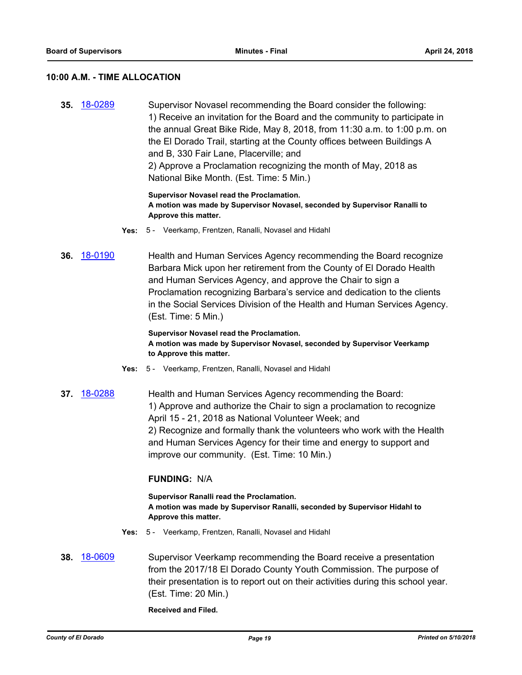#### **10:00 A.M. - TIME ALLOCATION**

**35.** [18-0289](http://eldorado.legistar.com/gateway.aspx?m=l&id=/matter.aspx?key=23632) Supervisor Novasel recommending the Board consider the following: 1) Receive an invitation for the Board and the community to participate in the annual Great Bike Ride, May 8, 2018, from 11:30 a.m. to 1:00 p.m. on the El Dorado Trail, starting at the County offices between Buildings A and B, 330 Fair Lane, Placerville; and 2) Approve a Proclamation recognizing the month of May, 2018 as National Bike Month. (Est. Time: 5 Min.)

#### **Supervisor Novasel read the Proclamation. A motion was made by Supervisor Novasel, seconded by Supervisor Ranalli to Approve this matter.**

- **Yes:** 5 Veerkamp, Frentzen, Ranalli, Novasel and Hidahl
- **36.** [18-0190](http://eldorado.legistar.com/gateway.aspx?m=l&id=/matter.aspx?key=23532) Health and Human Services Agency recommending the Board recognize Barbara Mick upon her retirement from the County of El Dorado Health and Human Services Agency, and approve the Chair to sign a Proclamation recognizing Barbara's service and dedication to the clients in the Social Services Division of the Health and Human Services Agency. (Est. Time: 5 Min.)

**Supervisor Novasel read the Proclamation. A motion was made by Supervisor Novasel, seconded by Supervisor Veerkamp to Approve this matter.**

- **Yes:** 5 Veerkamp, Frentzen, Ranalli, Novasel and Hidahl
- **37.** [18-0288](http://eldorado.legistar.com/gateway.aspx?m=l&id=/matter.aspx?key=23631) Health and Human Services Agency recommending the Board: 1) Approve and authorize the Chair to sign a proclamation to recognize April 15 - 21, 2018 as National Volunteer Week; and 2) Recognize and formally thank the volunteers who work with the Health and Human Services Agency for their time and energy to support and improve our community. (Est. Time: 10 Min.)

#### **FUNDING:** N/A

**Supervisor Ranalli read the Proclamation. A motion was made by Supervisor Ranalli, seconded by Supervisor Hidahl to Approve this matter.**

- **Yes:** 5 Veerkamp, Frentzen, Ranalli, Novasel and Hidahl
- **38.** [18-0609](http://eldorado.legistar.com/gateway.aspx?m=l&id=/matter.aspx?key=23954) Supervisor Veerkamp recommending the Board receive a presentation from the 2017/18 El Dorado County Youth Commission. The purpose of their presentation is to report out on their activities during this school year. (Est. Time: 20 Min.)

**Received and Filed.**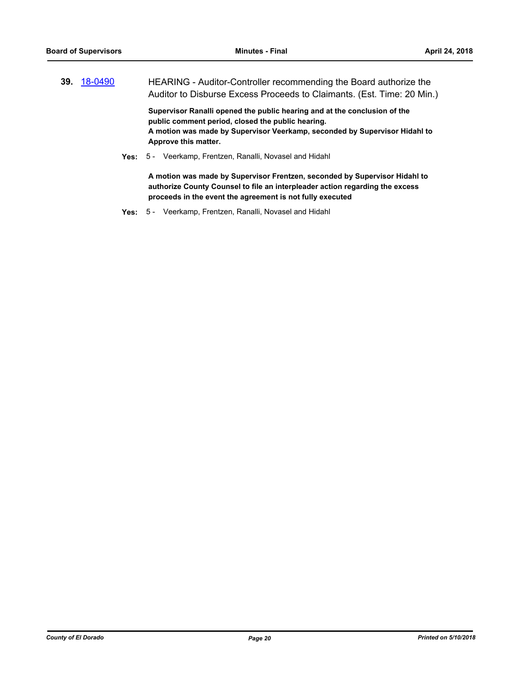**39.** [18-0490](http://eldorado.legistar.com/gateway.aspx?m=l&id=/matter.aspx?key=23835) HEARING - Auditor-Controller recommending the Board authorize the Auditor to Disburse Excess Proceeds to Claimants. (Est. Time: 20 Min.)

**Supervisor Ranalli opened the public hearing and at the conclusion of the public comment period, closed the public hearing. A motion was made by Supervisor Veerkamp, seconded by Supervisor Hidahl to Approve this matter.**

**Yes:** 5 - Veerkamp, Frentzen, Ranalli, Novasel and Hidahl

**A motion was made by Supervisor Frentzen, seconded by Supervisor Hidahl to authorize County Counsel to file an interpleader action regarding the excess proceeds in the event the agreement is not fully executed**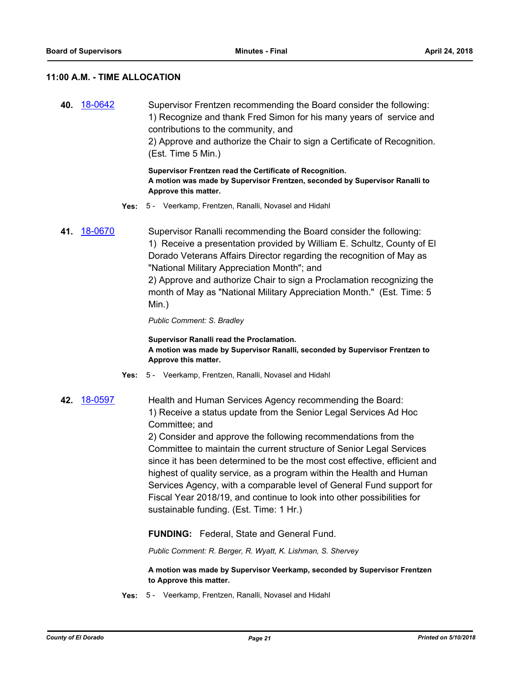#### **11:00 A.M. - TIME ALLOCATION**

**40.** [18-0642](http://eldorado.legistar.com/gateway.aspx?m=l&id=/matter.aspx?key=23987) Supervisor Frentzen recommending the Board consider the following: 1) Recognize and thank Fred Simon for his many years of service and contributions to the community, and 2) Approve and authorize the Chair to sign a Certificate of Recognition.

(Est. Time 5 Min.)

**Supervisor Frentzen read the Certificate of Recognition. A motion was made by Supervisor Frentzen, seconded by Supervisor Ranalli to Approve this matter.**

- **Yes:** 5 Veerkamp, Frentzen, Ranalli, Novasel and Hidahl
- **41.** [18-0670](http://eldorado.legistar.com/gateway.aspx?m=l&id=/matter.aspx?key=24015) Supervisor Ranalli recommending the Board consider the following: 1) Receive a presentation provided by William E. Schultz, County of El Dorado Veterans Affairs Director regarding the recognition of May as "National Military Appreciation Month"; and 2) Approve and authorize Chair to sign a Proclamation recognizing the month of May as "National Military Appreciation Month." (Est. Time: 5

Min.)

*Public Comment: S. Bradley*

**Supervisor Ranalli read the Proclamation. A motion was made by Supervisor Ranalli, seconded by Supervisor Frentzen to Approve this matter.**

- **Yes:** 5 Veerkamp, Frentzen, Ranalli, Novasel and Hidahl
- **42.** [18-0597](http://eldorado.legistar.com/gateway.aspx?m=l&id=/matter.aspx?key=23942) Health and Human Services Agency recommending the Board: 1) Receive a status update from the Senior Legal Services Ad Hoc Committee; and

2) Consider and approve the following recommendations from the Committee to maintain the current structure of Senior Legal Services since it has been determined to be the most cost effective, efficient and highest of quality service, as a program within the Health and Human Services Agency, with a comparable level of General Fund support for Fiscal Year 2018/19, and continue to look into other possibilities for sustainable funding. (Est. Time: 1 Hr.)

**FUNDING:** Federal, State and General Fund.

*Public Comment: R. Berger, R. Wyatt, K. Lishman, S. Shervey*

**A motion was made by Supervisor Veerkamp, seconded by Supervisor Frentzen to Approve this matter.**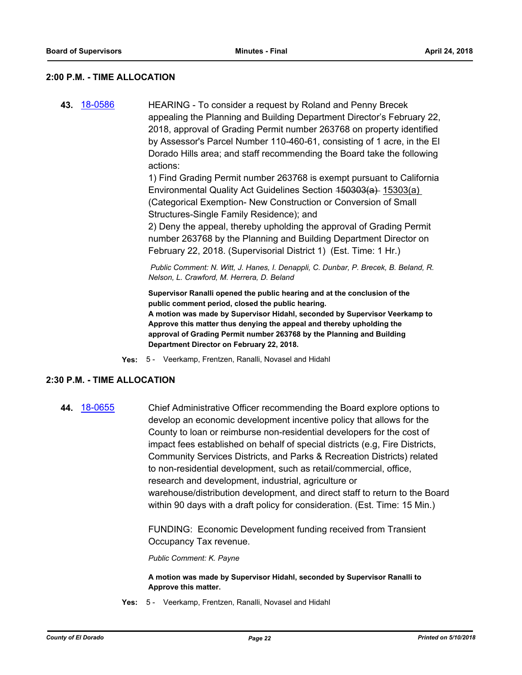#### **2:00 P.M. - TIME ALLOCATION**

**43.** [18-0586](http://eldorado.legistar.com/gateway.aspx?m=l&id=/matter.aspx?key=23931) HEARING - To consider a request by Roland and Penny Brecek appealing the Planning and Building Department Director's February 22, 2018, approval of Grading Permit number 263768 on property identified by Assessor's Parcel Number 110-460-61, consisting of 1 acre, in the El Dorado Hills area; and staff recommending the Board take the following actions:

1) Find Grading Permit number 263768 is exempt pursuant to California Environmental Quality Act Guidelines Section 450303(a) 15303(a) (Categorical Exemption- New Construction or Conversion of Small Structures-Single Family Residence); and

2) Deny the appeal, thereby upholding the approval of Grading Permit number 263768 by the Planning and Building Department Director on February 22, 2018. (Supervisorial District 1) (Est. Time: 1 Hr.)

 *Public Comment: N. Witt, J. Hanes, I. Denappli, C. Dunbar, P. Brecek, B. Beland, R. Nelson, L. Crawford, M. Herrera, D. Beland*

**Supervisor Ranalli opened the public hearing and at the conclusion of the public comment period, closed the public hearing. A motion was made by Supervisor Hidahl, seconded by Supervisor Veerkamp to Approve this matter thus denying the appeal and thereby upholding the approval of Grading Permit number 263768 by the Planning and Building Department Director on February 22, 2018.**

**Yes:** 5 - Veerkamp, Frentzen, Ranalli, Novasel and Hidahl

#### **2:30 P.M. - TIME ALLOCATION**

**44.** [18-0655](http://eldorado.legistar.com/gateway.aspx?m=l&id=/matter.aspx?key=24000) Chief Administrative Officer recommending the Board explore options to develop an economic development incentive policy that allows for the County to loan or reimburse non-residential developers for the cost of impact fees established on behalf of special districts (e.g, Fire Districts, Community Services Districts, and Parks & Recreation Districts) related to non-residential development, such as retail/commercial, office, research and development, industrial, agriculture or warehouse/distribution development, and direct staff to return to the Board within 90 days with a draft policy for consideration. (Est. Time: 15 Min.)

> FUNDING: Economic Development funding received from Transient Occupancy Tax revenue.

*Public Comment: K. Payne*

**A motion was made by Supervisor Hidahl, seconded by Supervisor Ranalli to Approve this matter.**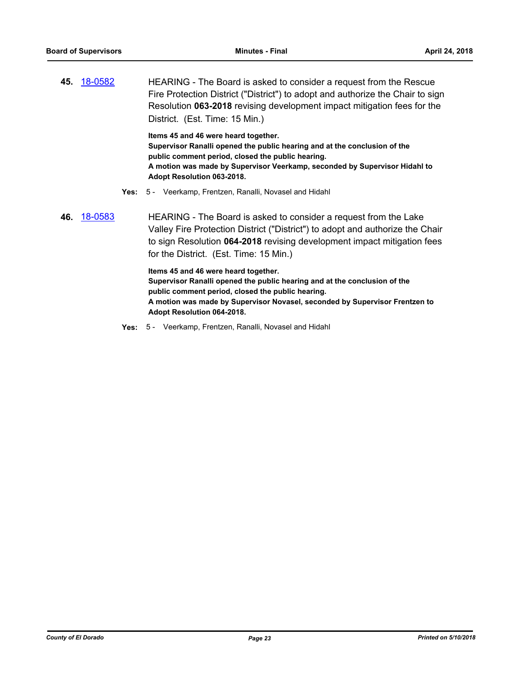**45.** [18-0582](http://eldorado.legistar.com/gateway.aspx?m=l&id=/matter.aspx?key=23927) HEARING - The Board is asked to consider a request from the Rescue Fire Protection District ("District") to adopt and authorize the Chair to sign Resolution **063-2018** revising development impact mitigation fees for the District. (Est. Time: 15 Min.)

> **Items 45 and 46 were heard together. Supervisor Ranalli opened the public hearing and at the conclusion of the public comment period, closed the public hearing. A motion was made by Supervisor Veerkamp, seconded by Supervisor Hidahl to Adopt Resolution 063-2018.**

- **Yes:** 5 Veerkamp, Frentzen, Ranalli, Novasel and Hidahl
- **46.** [18-0583](http://eldorado.legistar.com/gateway.aspx?m=l&id=/matter.aspx?key=23928) HEARING The Board is asked to consider a request from the Lake Valley Fire Protection District ("District") to adopt and authorize the Chair to sign Resolution **064-2018** revising development impact mitigation fees for the District. (Est. Time: 15 Min.)

**Items 45 and 46 were heard together. Supervisor Ranalli opened the public hearing and at the conclusion of the public comment period, closed the public hearing. A motion was made by Supervisor Novasel, seconded by Supervisor Frentzen to Adopt Resolution 064-2018.**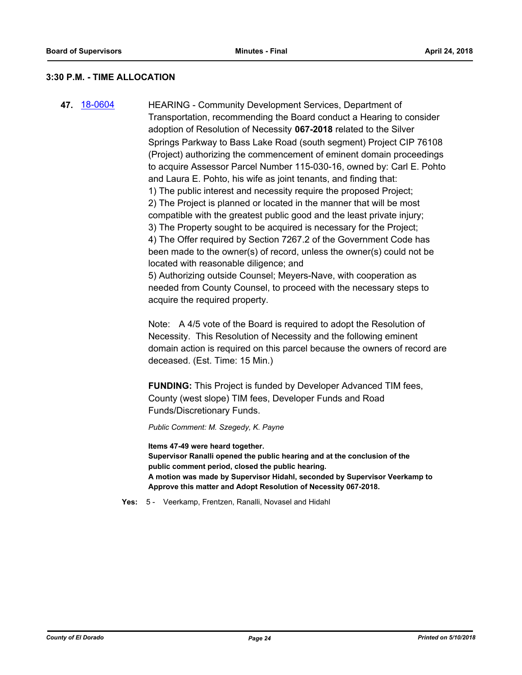#### **3:30 P.M. - TIME ALLOCATION**

**47.** [18-0604](http://eldorado.legistar.com/gateway.aspx?m=l&id=/matter.aspx?key=23949) HEARING - Community Development Services, Department of Transportation, recommending the Board conduct a Hearing to consider adoption of Resolution of Necessity **067-2018** related to the Silver Springs Parkway to Bass Lake Road (south segment) Project CIP 76108 (Project) authorizing the commencement of eminent domain proceedings to acquire Assessor Parcel Number 115-030-16, owned by: Carl E. Pohto and Laura E. Pohto, his wife as joint tenants, and finding that: 1) The public interest and necessity require the proposed Project; 2) The Project is planned or located in the manner that will be most compatible with the greatest public good and the least private injury; 3) The Property sought to be acquired is necessary for the Project; 4) The Offer required by Section 7267.2 of the Government Code has been made to the owner(s) of record, unless the owner(s) could not be located with reasonable diligence; and 5) Authorizing outside Counsel; Meyers-Nave, with cooperation as needed from County Counsel, to proceed with the necessary steps to acquire the required property.

> Note: A 4/5 vote of the Board is required to adopt the Resolution of Necessity. This Resolution of Necessity and the following eminent domain action is required on this parcel because the owners of record are deceased. (Est. Time: 15 Min.)

**FUNDING:** This Project is funded by Developer Advanced TIM fees, County (west slope) TIM fees, Developer Funds and Road Funds/Discretionary Funds.

*Public Comment: M. Szegedy, K. Payne*

**Items 47-49 were heard together. Supervisor Ranalli opened the public hearing and at the conclusion of the public comment period, closed the public hearing. A motion was made by Supervisor Hidahl, seconded by Supervisor Veerkamp to Approve this matter and Adopt Resolution of Necessity 067-2018.**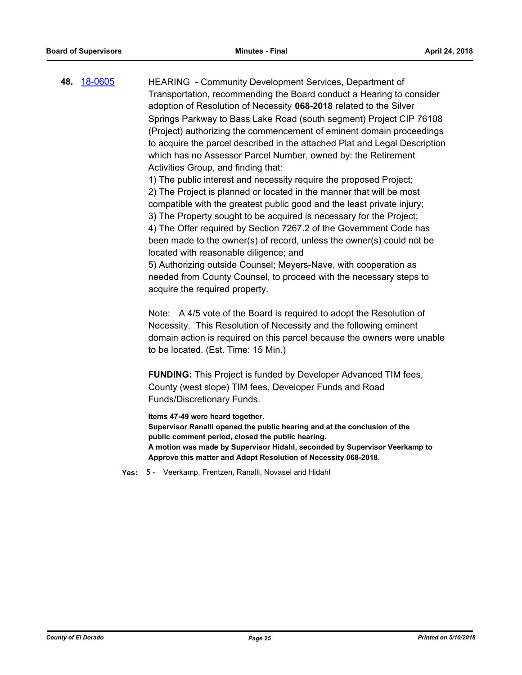**48.** [18-0605](http://eldorado.legistar.com/gateway.aspx?m=l&id=/matter.aspx?key=23950) HEARING - Community Development Services, Department of Transportation, recommending the Board conduct a Hearing to consider adoption of Resolution of Necessity **068-2018** related to the Silver Springs Parkway to Bass Lake Road (south segment) Project CIP 76108 (Project) authorizing the commencement of eminent domain proceedings to acquire the parcel described in the attached Plat and Legal Description which has no Assessor Parcel Number, owned by: the Retirement Activities Group, and finding that:

> 1) The public interest and necessity require the proposed Project; 2) The Project is planned or located in the manner that will be most compatible with the greatest public good and the least private injury; 3) The Property sought to be acquired is necessary for the Project;

4) The Offer required by Section 7267.2 of the Government Code has been made to the owner(s) of record, unless the owner(s) could not be located with reasonable diligence; and

5) Authorizing outside Counsel; Meyers-Nave, with cooperation as needed from County Counsel, to proceed with the necessary steps to acquire the required property.

Note: A 4/5 vote of the Board is required to adopt the Resolution of Necessity. This Resolution of Necessity and the following eminent domain action is required on this parcel because the owners were unable to be located. (Est. Time: 15 Min.)

**FUNDING:** This Project is funded by Developer Advanced TIM fees, County (west slope) TIM fees, Developer Funds and Road Funds/Discretionary Funds.

**Items 47-49 were heard together.**

**Supervisor Ranalli opened the public hearing and at the conclusion of the public comment period, closed the public hearing. A motion was made by Supervisor Hidahl, seconded by Supervisor Veerkamp to Approve this matter and Adopt Resolution of Necessity 068-2018.**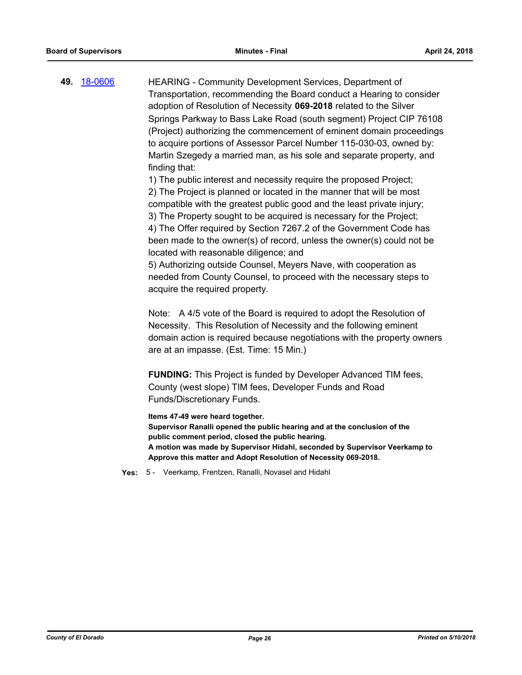**49.** [18-0606](http://eldorado.legistar.com/gateway.aspx?m=l&id=/matter.aspx?key=23951) HEARING - Community Development Services, Department of Transportation, recommending the Board conduct a Hearing to consider adoption of Resolution of Necessity **069-2018** related to the Silver Springs Parkway to Bass Lake Road (south segment) Project CIP 76108 (Project) authorizing the commencement of eminent domain proceedings to acquire portions of Assessor Parcel Number 115-030-03, owned by: Martin Szegedy a married man, as his sole and separate property, and finding that:

1) The public interest and necessity require the proposed Project;

2) The Project is planned or located in the manner that will be most compatible with the greatest public good and the least private injury;

3) The Property sought to be acquired is necessary for the Project; 4) The Offer required by Section 7267.2 of the Government Code has been made to the owner(s) of record, unless the owner(s) could not be located with reasonable diligence; and

5) Authorizing outside Counsel, Meyers Nave, with cooperation as needed from County Counsel, to proceed with the necessary steps to acquire the required property.

Note: A 4/5 vote of the Board is required to adopt the Resolution of Necessity. This Resolution of Necessity and the following eminent domain action is required because negotiations with the property owners are at an impasse. (Est. Time: 15 Min.)

**FUNDING:** This Project is funded by Developer Advanced TIM fees, County (west slope) TIM fees, Developer Funds and Road Funds/Discretionary Funds.

**Items 47-49 were heard together.**

**Supervisor Ranalli opened the public hearing and at the conclusion of the public comment period, closed the public hearing. A motion was made by Supervisor Hidahl, seconded by Supervisor Veerkamp to Approve this matter and Adopt Resolution of Necessity 069-2018.**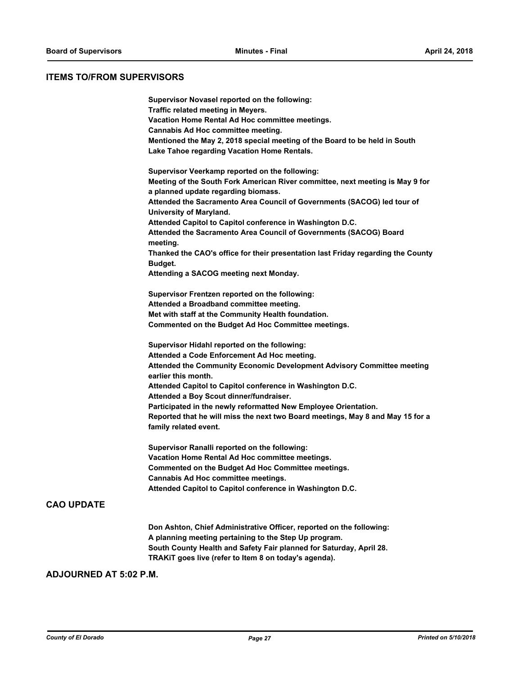#### **ITEMS TO/FROM SUPERVISORS**

| Supervisor Novasel reported on the following:<br>Traffic related meeting in Meyers.<br>Vacation Home Rental Ad Hoc committee meetings.<br>Cannabis Ad Hoc committee meeting. |
|------------------------------------------------------------------------------------------------------------------------------------------------------------------------------|
| Mentioned the May 2, 2018 special meeting of the Board to be held in South<br>Lake Tahoe regarding Vacation Home Rentals.                                                    |
| Supervisor Veerkamp reported on the following:                                                                                                                               |
| Meeting of the South Fork American River committee, next meeting is May 9 for<br>a planned update regarding biomass.                                                         |
| Attended the Sacramento Area Council of Governments (SACOG) led tour of<br>University of Maryland.                                                                           |
| Attended Capitol to Capitol conference in Washington D.C.                                                                                                                    |
| Attended the Sacramento Area Council of Governments (SACOG) Board<br>meeting.                                                                                                |
| Thanked the CAO's office for their presentation last Friday regarding the County                                                                                             |
| Budget.<br>Attending a SACOG meeting next Monday.                                                                                                                            |
|                                                                                                                                                                              |
| Supervisor Frentzen reported on the following:                                                                                                                               |
| Attended a Broadband committee meeting.                                                                                                                                      |
| Met with staff at the Community Health foundation.                                                                                                                           |
| Commented on the Budget Ad Hoc Committee meetings.                                                                                                                           |
| Supervisor Hidahl reported on the following:                                                                                                                                 |
| Attended a Code Enforcement Ad Hoc meeting.                                                                                                                                  |
| Attended the Community Economic Development Advisory Committee meeting<br>earlier this month.                                                                                |
| Attended Capitol to Capitol conference in Washington D.C.<br>Attended a Boy Scout dinner/fundraiser.                                                                         |
| Participated in the newly reformatted New Employee Orientation.                                                                                                              |
| Reported that he will miss the next two Board meetings, May 8 and May 15 for a                                                                                               |
| family related event.                                                                                                                                                        |
| Supervisor Ranalli reported on the following:                                                                                                                                |
| Vacation Home Rental Ad Hoc committee meetings.                                                                                                                              |
| Commented on the Budget Ad Hoc Committee meetings.                                                                                                                           |
| Cannabis Ad Hoc committee meetings.                                                                                                                                          |
|                                                                                                                                                                              |

**Don Ashton, Chief Administrative Officer, reported on the following: A planning meeting pertaining to the Step Up program. South County Health and Safety Fair planned for Saturday, April 28. TRAKiT goes live (refer to Item 8 on today's agenda).**

#### **ADJOURNED AT 5:02 P.M.**

**CAO UPDATE**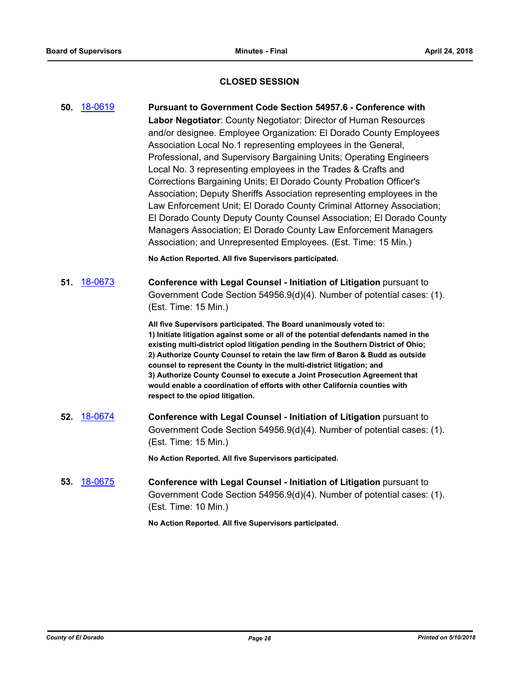## **CLOSED SESSION**

|     | 50. 18-0619 | <b>Pursuant to Government Code Section 54957.6 - Conference with</b><br>Labor Negotiator: County Negotiator: Director of Human Resources<br>and/or designee. Employee Organization: El Dorado County Employees<br>Association Local No.1 representing employees in the General,<br>Professional, and Supervisory Bargaining Units; Operating Engineers<br>Local No. 3 representing employees in the Trades & Crafts and<br>Corrections Bargaining Units; El Dorado County Probation Officer's<br>Association; Deputy Sheriffs Association representing employees in the<br>Law Enforcement Unit; El Dorado County Criminal Attorney Association;<br>El Dorado County Deputy County Counsel Association; El Dorado County<br>Managers Association; El Dorado County Law Enforcement Managers<br>Association; and Unrepresented Employees. (Est. Time: 15 Min.)<br>No Action Reported. All five Supervisors participated. |
|-----|-------------|-------------------------------------------------------------------------------------------------------------------------------------------------------------------------------------------------------------------------------------------------------------------------------------------------------------------------------------------------------------------------------------------------------------------------------------------------------------------------------------------------------------------------------------------------------------------------------------------------------------------------------------------------------------------------------------------------------------------------------------------------------------------------------------------------------------------------------------------------------------------------------------------------------------------------|
|     |             |                                                                                                                                                                                                                                                                                                                                                                                                                                                                                                                                                                                                                                                                                                                                                                                                                                                                                                                         |
| 51. | 18-0673     | Conference with Legal Counsel - Initiation of Litigation pursuant to<br>Government Code Section 54956.9(d)(4). Number of potential cases: (1).<br>(Est. Time: 15 Min.)                                                                                                                                                                                                                                                                                                                                                                                                                                                                                                                                                                                                                                                                                                                                                  |
|     |             | All five Supervisors participated. The Board unanimously voted to:<br>1) Initiate litigation against some or all of the potential defendants named in the<br>existing multi-district opiod litigation pending in the Southern District of Ohio;<br>2) Authorize County Counsel to retain the law firm of Baron & Budd as outside<br>counsel to represent the County in the multi-district litigation; and<br>3) Authorize County Counsel to execute a Joint Prosecution Agreement that<br>would enable a coordination of efforts with other California counties with<br>respect to the opiod litigation.                                                                                                                                                                                                                                                                                                                |
| 52. | 18-0674     | Conference with Legal Counsel - Initiation of Litigation pursuant to<br>Government Code Section 54956.9(d)(4). Number of potential cases: (1).<br>(Est. Time: 15 Min.)                                                                                                                                                                                                                                                                                                                                                                                                                                                                                                                                                                                                                                                                                                                                                  |
|     |             | No Action Reported. All five Supervisors participated.                                                                                                                                                                                                                                                                                                                                                                                                                                                                                                                                                                                                                                                                                                                                                                                                                                                                  |
| 53. | 18-0675     | Conference with Legal Counsel - Initiation of Litigation pursuant to<br>Government Code Section 54956.9(d)(4). Number of potential cases: (1).<br>(Est. Time: 10 Min.)                                                                                                                                                                                                                                                                                                                                                                                                                                                                                                                                                                                                                                                                                                                                                  |
|     |             | No Action Reported. All five Supervisors participated.                                                                                                                                                                                                                                                                                                                                                                                                                                                                                                                                                                                                                                                                                                                                                                                                                                                                  |